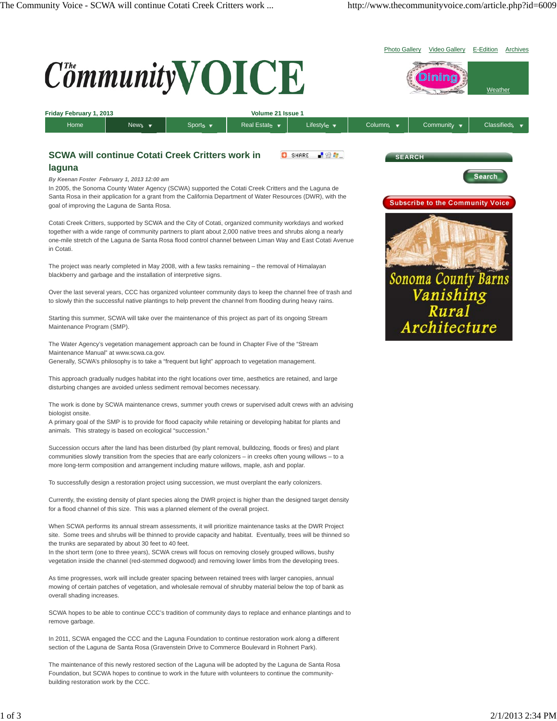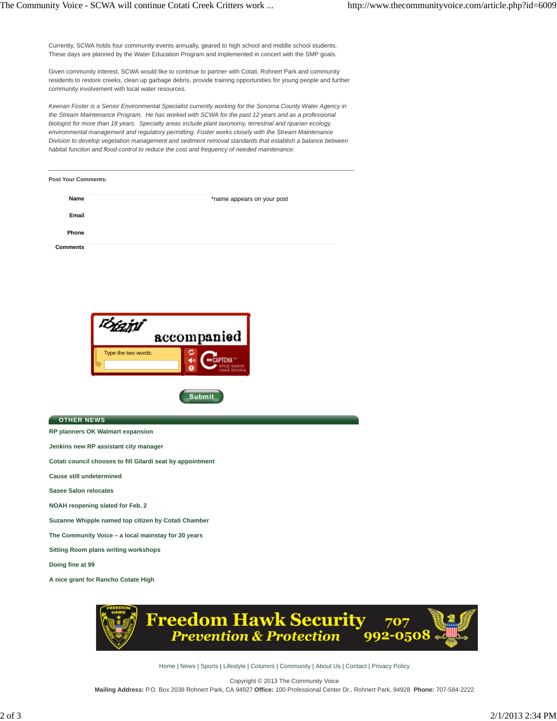Currently, SCWA holds four community events annually, geared to high school and middle school students. These days are planned by the Water Education Program and implemented in concert with the SMP goals.

Given community interest, SCWA would like to continue to partner with Cotati, Rohnert Park and community residents to restore creeks, clean up garbage debris, provide training opportunities for young people and further community involvement with local water resources.

*Keenan Foster is a Senior Environmental Specialist currently working for the Sonoma County Water Agency in the Stream Maintenance Program. He has worked with SCWA for the past 12 years and as a professional biologist for more than 18 years. Specialty areas include plant taxonomy, terrestrial and riparian ecology, environmental management and regulatory permitting. Foster works closely with the Stream Maintenance Division to develop vegetation management and sediment removal standards that establish a balance between habitat function and flood control to reduce the cost and frequency of needed maintenance.*

| Post Your Comments: |                            |
|---------------------|----------------------------|
| Name                | *name appears on your post |
| Email               |                            |
| Phone               |                            |
| <b>Comments</b>     |                            |



**Submit** 

**OTHER NEWS**

**RP planners OK Walmart expansion**

**Jenkins new RP assistant city manager**

**Cotati council chooses to fill Gilardi seat by appointment**

**Cause still undetermined**

**Sasee Salon relocates**

**NOAH reopening slated for Feb. 2**

**Suzanne Whipple named top citizen by Cotati Chamber**

**The Community Voice – a local mainstay for 20 years**

**Sitting Room plans writing workshops**

**Doing fine at 99**

**A nice grant for Rancho Cotate High**



Home | News | Sports | Lifestyle | Columns | Community | About Us | Contact | Privacy Policy

Copyright © 2013 The Community Voice **Mailing Address:** P.O. Box 2038 Rohnert Park, CA 94927 **Office:** 100 Professional Center Dr., Rohnert Park, 94928 **Phone:** 707-584-2222